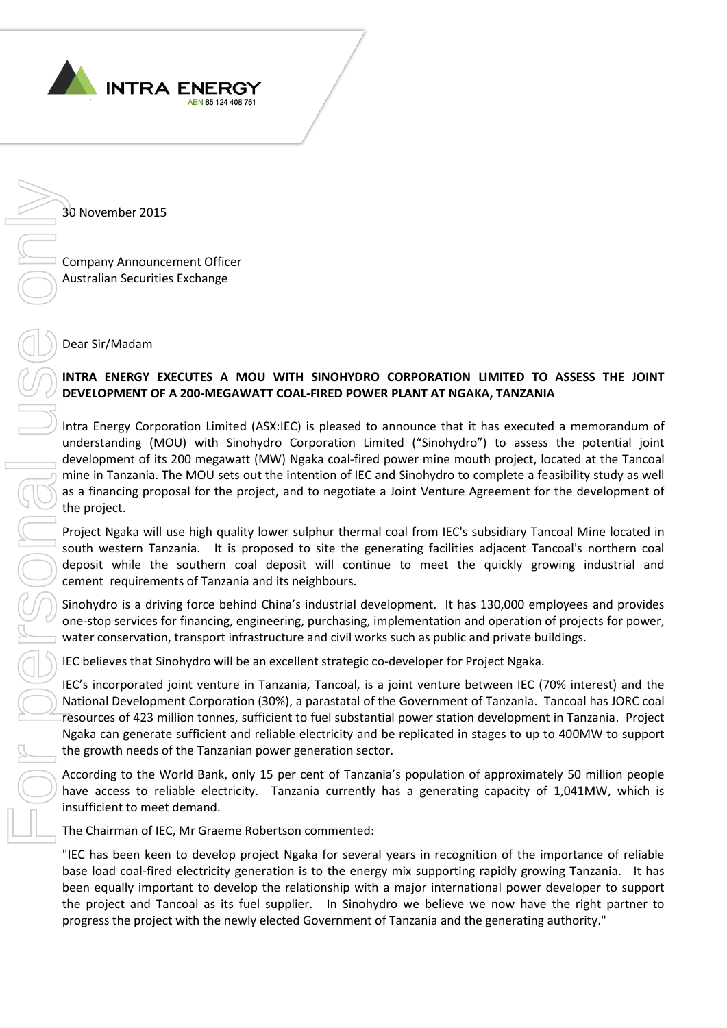

30 November 2015

Company Announcement Officer Australian Securities Exchange

Dear Sir/Madam

## **INTRA ENERGY EXECUTES A MOU WITH SINOHYDRO CORPORATION LIMITED TO ASSESS THE JOINT DEVELOPMENT OF A 200-MEGAWATT COAL-FIRED POWER PLANT AT NGAKA, TANZANIA**

Intra Energy Corporation Limited (ASX:IEC) is pleased to announce that it has executed a memorandum of understanding (MOU) with Sinohydro Corporation Limited ("Sinohydro") to assess the potential joint development of its 200 megawatt (MW) Ngaka coal-fired power mine mouth project, located at the Tancoal mine in Tanzania. The MOU sets out the intention of IEC and Sinohydro to complete a feasibility study as well as a financing proposal for the project, and to negotiate a Joint Venture Agreement for the development of the project. **Example 2015**<br> **Example 10.4 Company Amountement Officer**<br> **Example 10.4 <b>Company Amountement Officer**<br> **Example 10.4 and 20.4 <b>EXAMPLE DOWER PLANT AT INGAKA, TANZANIA**<br> **EXAMPLE 10.4 AND WE SHOWER COMPATION COMPATION** 

Project Ngaka will use high quality lower sulphur thermal coal from IEC's subsidiary Tancoal Mine located in south western Tanzania. It is proposed to site the generating facilities adjacent Tancoal's northern coal deposit while the southern coal deposit will continue to meet the quickly growing industrial and cement requirements of Tanzania and its neighbours.

Sinohydro is a driving force behind China's industrial development. It has 130,000 employees and provides one-stop services for financing, engineering, purchasing, implementation and operation of projects for power, water conservation, transport infrastructure and civil works such as public and private buildings.

IEC believes that Sinohydro will be an excellent strategic co-developer for Project Ngaka.

IEC's incorporated joint venture in Tanzania, Tancoal, is a joint venture between IEC (70% interest) and the National Development Corporation (30%), a parastatal of the Government of Tanzania. Tancoal has JORC coal resources of 423 million tonnes, sufficient to fuel substantial power station development in Tanzania. Project Ngaka can generate sufficient and reliable electricity and be replicated in stages to up to 400MW to support the growth needs of the Tanzanian power generation sector.

According to the World Bank, only 15 per cent of Tanzania's population of approximately 50 million people have access to reliable electricity. Tanzania currently has a generating capacity of 1,041MW, which is insufficient to meet demand.

The Chairman of IEC, Mr Graeme Robertson commented:

"IEC has been keen to develop project Ngaka for several years in recognition of the importance of reliable base load coal-fired electricity generation is to the energy mix supporting rapidly growing Tanzania. It has been equally important to develop the relationship with a major international power developer to support the project and Tancoal as its fuel supplier. In Sinohydro we believe we now have the right partner to